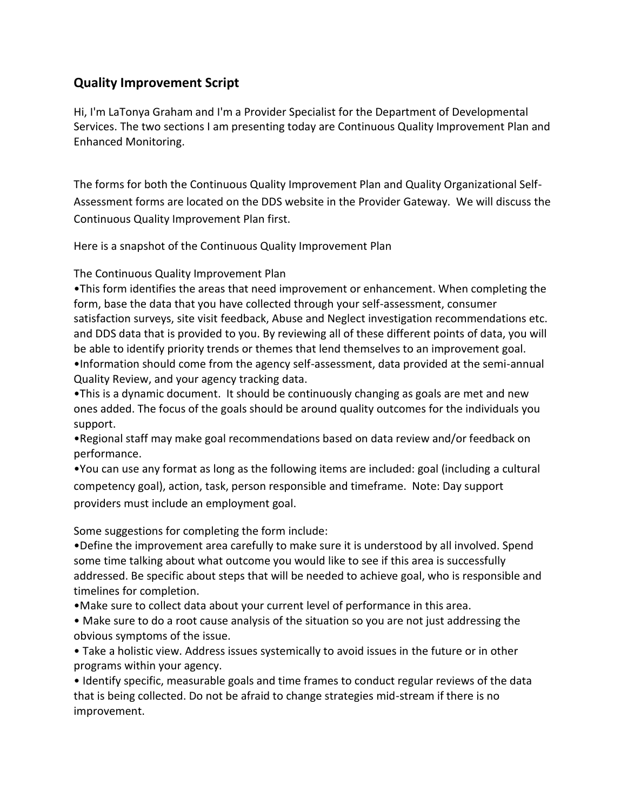## **Quality Improvement Script**

Hi, I'm LaTonya Graham and I'm a Provider Specialist for the Department of Developmental Services. The two sections I am presenting today are Continuous Quality Improvement Plan and Enhanced Monitoring.

The forms for both the Continuous Quality Improvement Plan and Quality Organizational Self-Assessment forms are located on the DDS website in the Provider Gateway. We will discuss the Continuous Quality Improvement Plan first.

Here is a snapshot of the Continuous Quality Improvement Plan

The Continuous Quality Improvement Plan

•This form identifies the areas that need improvement or enhancement. When completing the form, base the data that you have collected through your self-assessment, consumer satisfaction surveys, site visit feedback, Abuse and Neglect investigation recommendations etc. and DDS data that is provided to you. By reviewing all of these different points of data, you will be able to identify priority trends or themes that lend themselves to an improvement goal. •Information should come from the agency self-assessment, data provided at the semi-annual Quality Review, and your agency tracking data.

•This is a dynamic document. It should be continuously changing as goals are met and new ones added. The focus of the goals should be around quality outcomes for the individuals you support.

•Regional staff may make goal recommendations based on data review and/or feedback on performance.

•You can use any format as long as the following items are included: goal (including a cultural competency goal), action, task, person responsible and timeframe. Note: Day support providers must include an employment goal.

Some suggestions for completing the form include:

•Define the improvement area carefully to make sure it is understood by all involved. Spend some time talking about what outcome you would like to see if this area is successfully addressed. Be specific about steps that will be needed to achieve goal, who is responsible and timelines for completion.

- •Make sure to collect data about your current level of performance in this area.
- Make sure to do a root cause analysis of the situation so you are not just addressing the obvious symptoms of the issue.
- Take a holistic view. Address issues systemically to avoid issues in the future or in other programs within your agency.

• Identify specific, measurable goals and time frames to conduct regular reviews of the data that is being collected. Do not be afraid to change strategies mid-stream if there is no improvement.